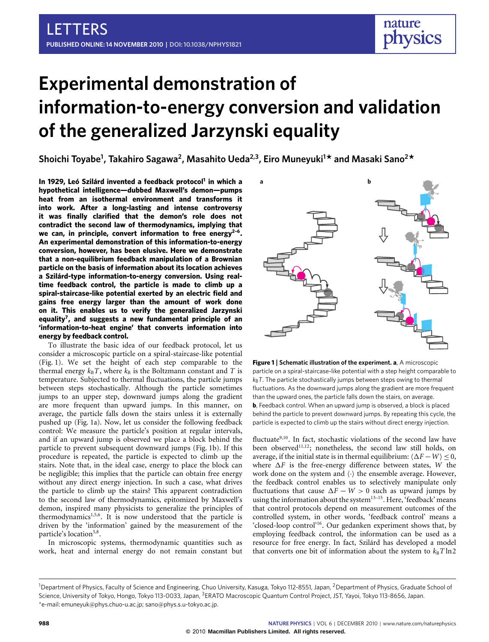# **Experimental demonstration of information-to-energy conversion and validation of the generalized Jarzynski equality**

**Shoichi Toyabe<sup>1</sup> , Takahiro Sagawa<sup>2</sup> , Masahito Ueda2,3, Eiro Muneyuki<sup>1</sup> \* and Masaki Sano<sup>2</sup> \***

**In 1929, Leó Szilárd invented a feedback protocol[1](#page-4-0) in which a hypothetical intelligence—dubbed Maxwell's demon—pumps heat from an isothermal environment and transforms it into work. After a long-lasting and intense controversy it was finally clarified that the demon's role does not contradict the second law of thermodynamics, implying that we can, in principle, convert information to free energy[2–](#page-4-1)[6](#page-4-2) . An experimental demonstration of this information-to-energy conversion, however, has been elusive. Here we demonstrate that a non-equilibrium feedback manipulation of a Brownian particle on the basis of information about its location achieves a Szilárd-type information-to-energy conversion. Using realtime feedback control, the particle is made to climb up a spiral-staircase-like potential exerted by an electric field and gains free energy larger than the amount of work done on it. This enables us to verify the generalized Jarzynski equality[7](#page-4-3) , and suggests a new fundamental principle of an 'information-to-heat engine' that converts information into energy by feedback control.**

To illustrate the basic idea of our feedback protocol, let us consider a microscopic particle on a spiral-staircase-like potential [\(Fig. 1\)](#page-0-0). We set the height of each step comparable to the thermal energy  $k_B T$ , where  $k_B$  is the Boltzmann constant and *T* is temperature. Subjected to thermal fluctuations, the particle jumps between steps stochastically. Although the particle sometimes jumps to an upper step, downward jumps along the gradient are more frequent than upward jumps. In this manner, on average, the particle falls down the stairs unless it is externally pushed up [\(Fig. 1a](#page-0-0)). Now, let us consider the following feedback control: We measure the particle's position at regular intervals, and if an upward jump is observed we place a block behind the particle to prevent subsequent downward jumps [\(Fig. 1b](#page-0-0)). If this procedure is repeated, the particle is expected to climb up the stairs. Note that, in the ideal case, energy to place the block can be negligible; this implies that the particle can obtain free energy without any direct energy injection. In such a case, what drives the particle to climb up the stairs? This apparent contradiction to the second law of thermodynamics, epitomized by Maxwell's demon, inspired many physicists to generalize the principles of thermodynamics<sup>[1,](#page-4-0)[5,](#page-4-4)[6](#page-4-2)</sup>. It is now understood that the particle is driven by the 'information' gained by the measurement of the particle's location<sup>[5](#page-4-4)[,8](#page-4-5)</sup>.

In microscopic systems, thermodynamic quantities such as work, heat and internal energy do not remain constant but



<span id="page-0-0"></span>**Figure 1** | **Schematic illustration of the experiment. a**, A microscopic particle on a spiral-staircase-like potential with a step height comparable to  $k_B$ *T*. The particle stochastically jumps between steps owing to thermal fluctuations. As the downward jumps along the gradient are more frequent than the upward ones, the particle falls down the stairs, on average. **b**, Feedback control. When an upward jump is observed, a block is placed behind the particle to prevent downward jumps. By repeating this cycle, the particle is expected to climb up the stairs without direct energy injection.

fluctuate<sup>[9](#page-4-6)[,10](#page-4-7)</sup>. In fact, stochastic violations of the second law have been observed<sup>[11](#page-4-8)[,12](#page-4-9)</sup>; nonetheless, the second law still holds, on average, if the initial state is in thermal equilibrium:  $\langle \Delta F - W \rangle \leq 0$ , where  $\Delta F$  is the free-energy difference between states, *W* the work done on the system and  $\langle \cdot \rangle$  the ensemble average. However, the feedback control enables us to selectively manipulate only fluctuations that cause  $\Delta F - W > 0$  such as upward jumps by using the information about the system<sup>[13](#page-4-10)-15</sup>. Here, 'feedback' means that control protocols depend on measurement outcomes of the controlled system, in other words, 'feedback control' means a 'closed-loop control'[16](#page-4-12). Our gedanken experiment shows that, by employing feedback control, the information can be used as a resource for free energy. In fact, Szilárd has developed a model that converts one bit of information about the system to  $k_B T \ln 2$ 

<sup>&</sup>lt;sup>1</sup>Department of Physics, Faculty of Science and Engineering, Chuo University, Kasuga, Tokyo 112-8551, Japan, <sup>2</sup>Department of Physics, Graduate School of Science, University of Tokyo, Hongo, Tokyo 113-0033, Japan, <sup>3</sup>ERATO Macroscopic Quantum Control Project, JST, Yayoi, Tokyo 113-8656, Japan. \*e-mail: [emuneyuk@phys.chuo-u.ac.jp;](mailto:emuneyuk@phys.chuo-u.ac.jp) [sano@phys.s.u-tokyo.ac.jp.](mailto:sano@phys.s.u-tokyo.ac.jp)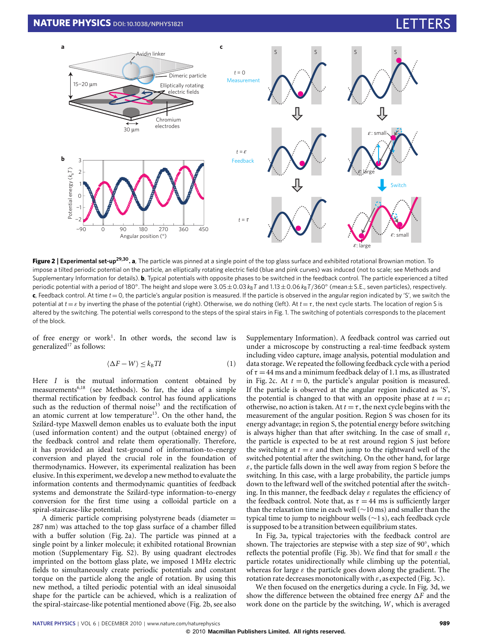

<span id="page-1-0"></span>**Figure 2** | **Experimental set-up[29,](#page-4-13)[30](#page-4-14) . a**, The particle was pinned at a single point of the top glass surface and exhibited rotational Brownian motion. To impose a tilted periodic potential on the particle, an elliptically rotating electric field (blue and pink curves) was induced (not to scale; see Methods and Supplementary Information for details). **b**, Typical potentials with opposite phases to be switched in the feedback control. The particle experienced a tilted periodic potential with a period of 180°. The height and slope were 3.05±0.03 *k*<sub>B</sub>T and 1.13±0.06 *k*<sub>B</sub>T/360° (mean±S.E., seven particles), respectively.  $\mathbf{c}$ , Feedback control. At time  $t = 0$ , the particle's angular position is measured. If the particle is observed in the angular region indicated by 'S', we switch the potential at  $t = \varepsilon$  by inverting the phase of the potential (right). Otherwise, we do nothing (left). At  $t = \tau$ , the next cycle starts. The location of region S is altered by the switching. The potential wells correspond to the steps of the spiral stairs in Fig. 1. The switching of potentials corresponds to the placement of the block.

of free energy or work<sup>[1](#page-4-0)</sup>. In other words, the second law is generalized<sup>[17](#page-4-15)</sup> as follows:

<span id="page-1-1"></span>
$$
\langle \Delta F - W \rangle \le k_{\text{B}} T I \tag{1}
$$

Here *I* is the mutual information content obtained by measurements<sup>[6,](#page-4-2)[18](#page-4-16)</sup> (see Methods). So far, the idea of a simple thermal rectification by feedback control has found applications such as the reduction of thermal noise<sup>[15](#page-4-11)</sup> and the rectification of an atomic current at low temperature<sup>[13](#page-4-10)</sup>. On the other hand, the Szilárd-type Maxwell demon enables us to evaluate both the input (used information content) and the output (obtained energy) of the feedback control and relate them operationally. Therefore, it has provided an ideal test-ground of information-to-energy conversion and played the crucial role in the foundation of thermodynamics. However, its experimental realization has been elusive. In this experiment, we develop a new method to evaluate the information contents and thermodynamic quantities of feedback systems and demonstrate the Szilárd-type information-to-energy conversion for the first time using a colloidal particle on a spiral-staircase-like potential.

A dimeric particle comprising polystyrene beads (diameter = 287 nm) was attached to the top glass surface of a chamber filled with a buffer solution [\(Fig. 2a](#page-1-0)). The particle was pinned at a single point by a linker molecule; it exhibited rotational Brownian motion (Supplementary Fig. S2). By using quadrant electrodes imprinted on the bottom glass plate, we imposed 1 MHz electric fields to simultaneously create periodic potentials and constant torque on the particle along the angle of rotation. By using this new method, a tilted periodic potential with an ideal sinusoidal shape for the particle can be achieved, which is a realization of the spiral-staircase-like potential mentioned above [\(Fig. 2b](#page-1-0), see also Supplementary Information). A feedback control was carried out under a microscope by constructing a real-time feedback system including video capture, image analysis, potential modulation and data storage. We repeated the following feedback cycle with a period of  $\tau = 44$  ms and a minimum feedback delay of 1.1 ms, as illustrated in [Fig. 2c](#page-1-0). At  $t = 0$ , the particle's angular position is measured. If the particle is observed at the angular region indicated as 'S', the potential is changed to that with an opposite phase at  $t = \varepsilon$ ; otherwise, no action is taken. At  $t = \tau$ , the next cycle begins with the measurement of the angular position. Region S was chosen for its energy advantage; in region S, the potential energy before switching is always higher than that after switching. In the case of small  $\varepsilon$ , the particle is expected to be at rest around region S just before the switching at  $t = \varepsilon$  and then jump to the rightward well of the switched potential after the switching. On the other hand, for large  $\varepsilon$ , the particle falls down in the well away from region S before the switching. In this case, with a large probability, the particle jumps down to the leftward well of the switched potential after the switching. In this manner, the feedback delay  $\varepsilon$  regulates the efficiency of the feedback control. Note that, as  $\tau = 44$  ms is sufficiently larger than the relaxation time in each well (∼10 ms) and smaller than the typical time to jump to neighbour wells (∼1 s), each feedback cycle is supposed to be a transition between equilibrium states.

In [Fig. 3a](#page-2-0), typical trajectories with the feedback control are shown. The trajectories are stepwise with a step size of 90°, which reflects the potential profile [\(Fig. 3b](#page-2-0)). We find that for small  $\varepsilon$  the particle rotates unidirectionally while climbing up the potential, whereas for large  $\varepsilon$  the particle goes down along the gradient. The rotation rate decreases monotonically with  $\varepsilon$ , as expected [\(Fig. 3c](#page-2-0)).

We then focused on the energetics during a cycle. In [Fig. 3d](#page-2-0), we show the difference between the obtained free energy  $\Delta F$  and the work done on the particle by the switching, *W* , which is averaged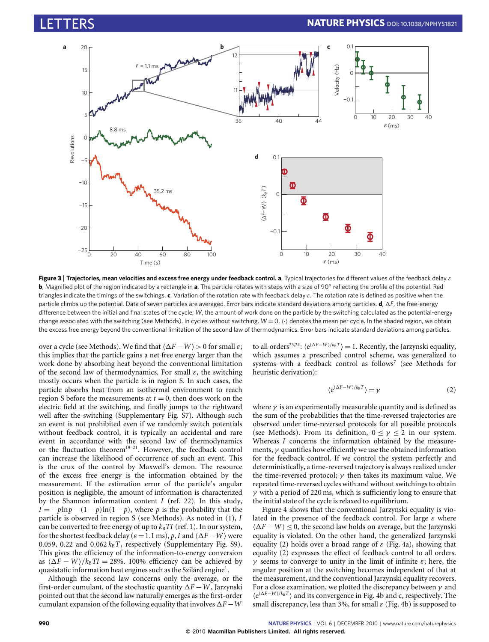

<span id="page-2-0"></span>**Figure 3** | **Trajectories, mean velocities and excess free energy under feedback control. a**, Typical trajectories for different values of the feedback delay ε. **b**, Magnified plot of the region indicated by a rectangle in **a**. The particle rotates with steps with a size of 90° reflecting the profile of the potential. Red triangles indicate the timings of the switchings. **c**, Variation of the rotation rate with feedback delay ε. The rotation rate is defined as positive when the particle climbs up the potential. Data of seven particles are averaged. Error bars indicate standard deviations among particles. **d**, 1*F*, the free-energy difference between the initial and final states of the cycle; *W*, the amount of work done on the particle by the switching calculated as the potential-energy change associated with the switching (see Methods). In cycles without switching,  $W = 0$ . (·) denotes the mean per cycle. In the shaded region, we obtain the excess free energy beyond the conventional limitation of the second law of thermodynamics. Error bars indicate standard deviations among particles.

over a cycle (see Methods). We find that  $\langle \Delta F - W \rangle > 0$  for small  $\varepsilon$ ; this implies that the particle gains a net free energy larger than the work done by absorbing heat beyond the conventional limitation of the second law of thermodynamics. For small  $\varepsilon$ , the switching mostly occurs when the particle is in region S. In such cases, the particle absorbs heat from an isothermal environment to reach region S before the measurements at  $t = 0$ , then does work on the electric field at the switching, and finally jumps to the rightward well after the switching (Supplementary Fig. S7). Although such an event is not prohibited even if we randomly switch potentials without feedback control, it is typically an accidental and rare event in accordance with the second law of thermodynamics or the fluctuation theorem<sup>[19–](#page-4-17)[21](#page-4-18)</sup>. However, the feedback control can increase the likelihood of occurrence of such an event. This is the crux of the control by Maxwell's demon. The resource of the excess free energy is the information obtained by the measurement. If the estimation error of the particle's angular position is negligible, the amount of information is characterized by the Shannon information content *I* (ref. [22\)](#page-4-19). In this study,  $I = -p \ln p - (1 - p) \ln(1 - p)$ , where *p* is the probability that the particle is observed in region S (see Methods). As noted in [\(1\)](#page-1-1), *I* can be converted to free energy of up to  $k_B T I$  (ref. [1\)](#page-4-0). In our system, for the shortest feedback delay ( $\varepsilon$  = 1.1 ms), *p*, *I* and  $\langle \Delta F - W \rangle$  were 0.059, 0.22 and  $0.062 k_B T$ , respectively (Supplementary Fig. S9). This gives the efficiency of the information-to-energy conversion as  $\langle \Delta F - W \rangle / k_B T I = 28\%$ . 100% efficiency can be achieved by quasistatic information heat engines such as the Szilárd engine<sup>[1](#page-4-0)</sup>.

Although the second law concerns only the average, or the first-order cumulant, of the stochastic quantity  $\Delta F - W$ , Jarzynski pointed out that the second law naturally emerges as the first-order cumulant expansion of the following equality that involves  $\Delta F - W$ 

to all orders<sup>[23](#page-4-20)[,24](#page-4-21)</sup>:  $\langle e^{(\Delta F - W)/k_B T} \rangle = 1$ . Recently, the Jarzynski equality, which assumes a prescribed control scheme, was generalized to systems with a feedback control as follows<sup>[7](#page-4-3)</sup> (see Methods for heuristic derivation):

<span id="page-2-1"></span>
$$
\langle e^{(\Delta F - W)/k_{\rm B}T} \rangle = \gamma \tag{2}
$$

where  $\gamma$  is an experimentally measurable quantity and is defined as the sum of the probabilities that the time-reversed trajectories are observed under time-reversed protocols for all possible protocols (see Methods). From its definition,  $0 \le \gamma \le 2$  in our system. Whereas *I* concerns the information obtained by the measurements,  $\nu$  quantifies how efficiently we use the obtained information for the feedback control. If we control the system perfectly and deterministically, a time-reversed trajectory is always realized under the time-reversed protocol;  $\gamma$  then takes its maximum value. We repeated time-reversed cycles with and without switchings to obtain  $\gamma$  with a period of 220 ms, which is sufficiently long to ensure that the initial state of the cycle is relaxed to equilibrium.

[Figure 4](#page-3-0) shows that the conventional Jarzynski equality is violated in the presence of the feedback control. For large  $\varepsilon$  where  $\langle \Delta F - W \rangle \leq 0$ , the second law holds on average, but the Jarzynski equality is violated. On the other hand, the generalized Jarzynski equality [\(2\)](#page-2-1) holds over a broad range of  $\varepsilon$  [\(Fig. 4a](#page-3-0)), showing that equality [\(2\)](#page-2-1) expresses the effect of feedback control to all orders.  $\gamma$  seems to converge to unity in the limit of infinite  $\varepsilon$ ; here, the angular position at the switching becomes independent of that at the measurement, and the conventional Jarzynski equality recovers. For a close examination, we plotted the discrepancy between  $\gamma$  and  $\langle e^{(\Delta F - W)/k_B T} \rangle$  and its convergence in [Fig. 4b](#page-3-0) and c, respectively. The small discrepancy, less than 3%, for small  $\varepsilon$  [\(Fig. 4b](#page-3-0)) is supposed to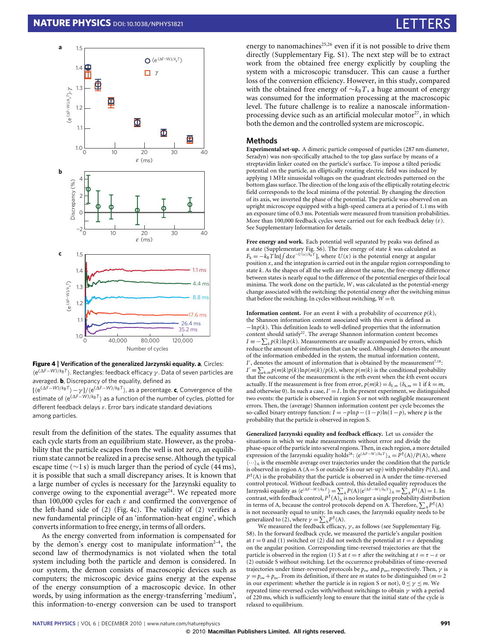

<span id="page-3-0"></span>

[ $\langle e^{(\Delta F - W)/k_B T} \rangle - \gamma$ ]/ $\langle e^{(\Delta F - W)/k_B T} \rangle$ , as a percentage. **c**, Convergence of the estimate of  $\langle e^{(\Delta F - W)/k_B T} \rangle$  as a function of the number of cycles, plotted for different feedback delays  $\varepsilon$ . Error bars indicate standard deviations among particles.

result from the definition of the states. The equality assumes that each cycle starts from an equilibrium state. However, as the probability that the particle escapes from the well is not zero, an equilibrium state cannot be realized in a precise sense. Although the typical escape time ( $\sim$ 1 s) is much larger than the period of cycle (44 ms), it is possible that such a small discrepancy arises. It is known that a large number of cycles is necessary for the Jarzynski equality to converge owing to the exponential average<sup>[24](#page-4-21)</sup>. We repeated more than 100,000 cycles for each  $\varepsilon$  and confirmed the convergence of the left-hand side of [\(2\)](#page-2-1) [\(Fig. 4c](#page-3-0)). The validity of [\(2\)](#page-2-1) verifies a new fundamental principle of an 'information-heat engine', which converts information to free energy, in terms of all orders.

As the energy converted from information is compensated for by the demon's energy cost to manipulate information<sup>2-[4](#page-4-22)</sup>, the second law of thermodynamics is not violated when the total system including both the particle and demon is considered. In our system, the demon consists of macroscopic devices such as computers; the microscopic device gains energy at the expense of the energy consumption of a macroscopic device. In other words, by using information as the energy-transferring 'medium', this information-to-energy conversion can be used to transport energy to nanomachines<sup>[25](#page-4-23)[,26](#page-4-24)</sup> even if it is not possible to drive them directly (Supplementary Fig. S1). The next step will be to extract work from the obtained free energy explicitly by coupling the system with a microscopic transducer. This can cause a further loss of the conversion efficiency. However, in this study, compared with the obtained free energy of  $\sim k_B T$ , a huge amount of energy was consumed for the information processing at the macroscopic level. The future challenge is to realize a nanoscale information-processing device such as an artificial molecular motor<sup>[27](#page-4-25)</sup>, in which both the demon and the controlled system are microscopic.

### **Methods**

**Experimental set-up.** A dimeric particle composed of particles (287 nm diameter, Seradyn) was non-specifically attached to the top glass surface by means of a streptavidin linker coated on the particle's surface. To impose a tilted periodic potential on the particle, an elliptically rotating electric field was induced by applying 1 MHz sinusoidal voltages on the quadrant electrodes patterned on the bottom glass surface. The direction of the long axis of the elliptically rotating electric field corresponds to the local minima of the potential. By changing the direction of its axis, we inverted the phase of the potential. The particle was observed on an upright microscope equipped with a high-speed camera at a period of 1.1 ms with an exposure time of 0.3 ms. Potentials were measured from transition probabilities. More than 100,000 feedback cycles were carried out for each feedback delay  $(\varepsilon)$ . See Supplementary Information for details.

**Free energy and work.** Each potential well separated by peaks was defined as a state (Supplementary Fig. S6). The free energy of state *k* was calculated as  $F_k = -k_B T \ln[\int dx e^{-U(x)/k_B T}]$ , where  $U(x)$  is the potential energy at angular position *x*, and the integration is carried out in the angular region corresponding to state *k*. As the shapes of all the wells are almost the same, the free-energy difference between states is nearly equal to the difference of the potential energies of their local minima. The work done on the particle, *W* , was calculated as the potential-energy change associated with the switching: the potential energy after the switching minus that before the switching. In cycles without switching,  $W = 0$ .

**Information content.** For an event  $k$  with a probability of occurrence  $p(k)$ , the Shannon information content associated with this event is defined as −ln*p*(*k*). This definition leads to well-defined properties that the information content should satisfy<sup>[22](#page-4-19)</sup>. The average Shannon information content becomes  $I \equiv -\sum_k p(k) \ln p(k)$ . Measurements are usually accompanied by errors, which reduce the amount of information that can be used. Although *I* denotes the amount of the information embedded in the system, the mutual information content, *I'*, denotes the amount of information that is obtained by the measurement<sup>[7](#page-4-3)[,18](#page-4-16)</sup>:  $I' \equiv \sum_{k,m} p(m|k)p(k)\ln p(m|k)/p(k)$ , where  $p(m|k)$  is the conditional probability that the outcome of the measurement is the *m*th event when the *k*th event occurs actually. If the measurement is free from error,  $p(m|k) = \delta_{k,m}$  ( $\delta_{k,m} = 1$  if  $k = m$ , and otherwise 0). In such a case,  $I' = I$ . In the present experiment, we distinguished two events: the particle is observed in region  $\bar{S}$  or not with negligible measurement errors. Then, the (average) Shannon information content per cycle becomes the so-called binary entropy function:  $I = -p\ln p - (1-p)\ln(1-p)$ , where *p* is the probability that the particle is observed in region S.

**Generalized Jarzynski equality and feedback efficacy.** Let us consider the situations in which we make measurements without error and divide the phase-space of the particle into several regions. Then, in each region, a more detailed expression of the Jarzynski equality holds<sup>[28](#page-4-26)</sup>:  $\langle e^{(\Delta F - W)/k_B T} \rangle_A = P^{\dagger}(A)/P(A)$ , where  $\langle \cdot \cdot \cdot \rangle_A$  is the ensemble average over trajectories under the condition that the particle is observed in region A ( $A = S$  or outside S in our set-up) with probability  $P(A)$ , and  $P^{\dagger}$ (A) is the probability that the particle is observed in A under the time-reversed control protocol. Without feedback control, this detailed equality reproduces the Jarzynski equality as  $\langle e^{(\Delta F - W)/k_B T} \rangle = \sum_A P(A) \langle e^{(\Delta F - W)/k_B T} \rangle_A = \sum_A P^{\dagger}(A) = 1$ . In contrast, with feedback control,  $P^{\dagger}(\mathbf{A})_{\mathbf{A}}$  is no longer a single probability distribution in terms of A, because the control protocols depend on A. Therefore,  $\sum_{A} P^{\dagger}(A)$ is not necessarily equal to unity. In such cases, the Jarzynski equality needs to be generalized to [\(2\)](#page-2-1), where  $\gamma = \sum_{A} P^{\dagger}(A)$ .

We measured the feedback efficacy,  $\gamma$ , as follows (see Supplementary Fig. S8). In the forward feedback cycle, we measured the particle's angular position at  $t = 0$  and (1) switched or (2) did not switch the potential at  $t = \varepsilon$  depending on the angular position. Corresponding time-reversed trajectories are that the particle is observed in the region (1) S at  $t = \tau$  after the switching at  $t = \tau - \varepsilon$  or (2) outside S without switching. Let the occurrence probabilities of time-reversed trajectories under timer-reversed protocols be  $p_{sw}$  and  $p_{ns}$ , respectively. Then,  $\gamma$  is  $\gamma = p_{sw} + p_{ns}$ . From its definition, if there are *m* states to be distinguished (*m* = 2 in our experiment: whether the particle is in region S or not),  $0 \le \gamma \le m$ . We repeated time-reversed cycles with/without switchings to obtain  $\gamma$  with a period of 220 ms, which is sufficiently long to ensure that the initial state of the cycle is relaxed to equilibrium.